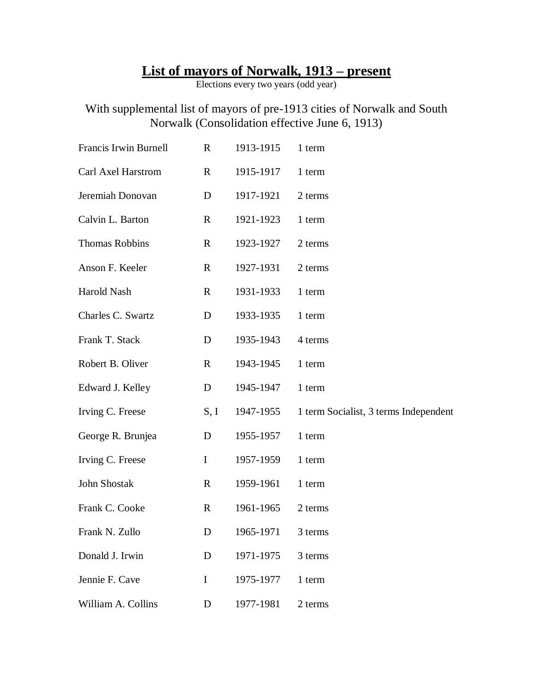## **List of mayors of Norwalk, 1913 – present**

Elections every two years (odd year)

## With supplemental list of mayors of pre-1913 cities of Norwalk and South Norwalk (Consolidation effective June 6, 1913)

| Francis Irwin Burnell | $\mathbf R$  | 1913-1915 | 1 term                                |
|-----------------------|--------------|-----------|---------------------------------------|
| Carl Axel Harstrom    | $\mathbf{R}$ | 1915-1917 | 1 term                                |
| Jeremiah Donovan      | D            | 1917-1921 | 2 terms                               |
| Calvin L. Barton      | R            | 1921-1923 | 1 term                                |
| <b>Thomas Robbins</b> | $\mathbf R$  | 1923-1927 | 2 terms                               |
| Anson F. Keeler       | $\mathbf R$  | 1927-1931 | 2 terms                               |
| Harold Nash           | $\mathbf R$  | 1931-1933 | 1 term                                |
| Charles C. Swartz     | D            | 1933-1935 | 1 term                                |
| Frank T. Stack        | D            | 1935-1943 | 4 terms                               |
| Robert B. Oliver      | $\mathbf R$  | 1943-1945 | 1 term                                |
| Edward J. Kelley      | D            | 1945-1947 | 1 term                                |
| Irving C. Freese      | S, I         | 1947-1955 | 1 term Socialist, 3 terms Independent |
| George R. Brunjea     | D            | 1955-1957 | 1 term                                |
| Irving C. Freese      | $\bf{I}$     | 1957-1959 | 1 term                                |
| John Shostak          | $\mathbf{R}$ | 1959-1961 | 1 term                                |
| Frank C. Cooke        | $\mathbf R$  | 1961-1965 | 2 terms                               |
| Frank N. Zullo        | D            | 1965-1971 | 3 terms                               |
| Donald J. Irwin       | D            | 1971-1975 | 3 terms                               |
| Jennie F. Cave        | I            | 1975-1977 | 1 term                                |
| William A. Collins    | D            | 1977-1981 | 2 terms                               |